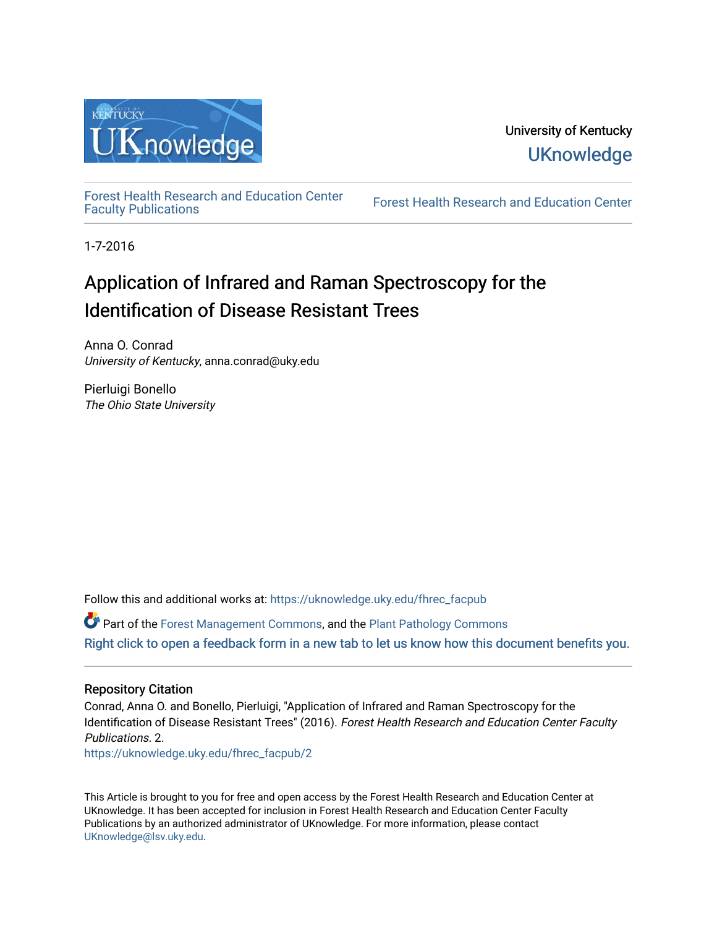

[Forest Health Research and Education Center](https://uknowledge.uky.edu/fhrec_facpub)

Forest Health Research and Education Center

1-7-2016

# Application of Infrared and Raman Spectroscopy for the Identification of Disease Resistant Trees

Anna O. Conrad University of Kentucky, anna.conrad@uky.edu

Pierluigi Bonello The Ohio State University

Follow this and additional works at: [https://uknowledge.uky.edu/fhrec\\_facpub](https://uknowledge.uky.edu/fhrec_facpub?utm_source=uknowledge.uky.edu%2Ffhrec_facpub%2F2&utm_medium=PDF&utm_campaign=PDFCoverPages) 

Part of the [Forest Management Commons](http://network.bepress.com/hgg/discipline/92?utm_source=uknowledge.uky.edu%2Ffhrec_facpub%2F2&utm_medium=PDF&utm_campaign=PDFCoverPages), and the [Plant Pathology Commons](http://network.bepress.com/hgg/discipline/107?utm_source=uknowledge.uky.edu%2Ffhrec_facpub%2F2&utm_medium=PDF&utm_campaign=PDFCoverPages)  [Right click to open a feedback form in a new tab to let us know how this document benefits you.](https://uky.az1.qualtrics.com/jfe/form/SV_9mq8fx2GnONRfz7)

# Repository Citation

Conrad, Anna O. and Bonello, Pierluigi, "Application of Infrared and Raman Spectroscopy for the Identification of Disease Resistant Trees" (2016). Forest Health Research and Education Center Faculty Publications. 2.

[https://uknowledge.uky.edu/fhrec\\_facpub/2](https://uknowledge.uky.edu/fhrec_facpub/2?utm_source=uknowledge.uky.edu%2Ffhrec_facpub%2F2&utm_medium=PDF&utm_campaign=PDFCoverPages) 

This Article is brought to you for free and open access by the Forest Health Research and Education Center at UKnowledge. It has been accepted for inclusion in Forest Health Research and Education Center Faculty Publications by an authorized administrator of UKnowledge. For more information, please contact [UKnowledge@lsv.uky.edu.](mailto:UKnowledge@lsv.uky.edu)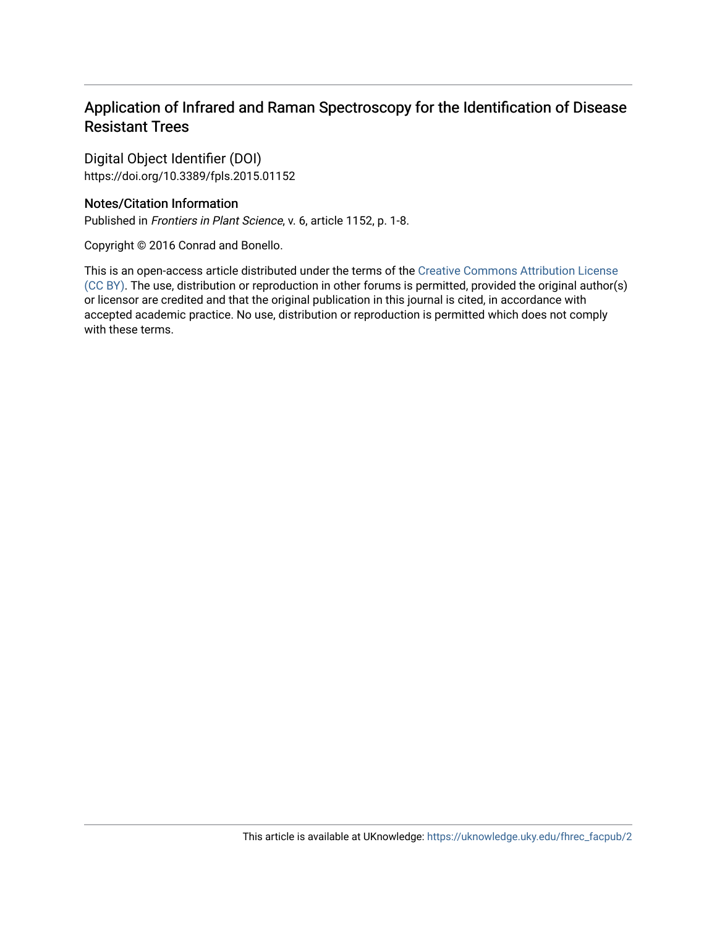# Application of Infrared and Raman Spectroscopy for the Identification of Disease Resistant Trees

Digital Object Identifier (DOI) https://doi.org/10.3389/fpls.2015.01152

# Notes/Citation Information

Published in Frontiers in Plant Science, v. 6, article 1152, p. 1-8.

Copyright © 2016 Conrad and Bonello.

This is an open-access article distributed under the terms of the [Creative Commons Attribution License](https://creativecommons.org/licenses/by/4.0/) [\(CC BY\)](https://creativecommons.org/licenses/by/4.0/). The use, distribution or reproduction in other forums is permitted, provided the original author(s) or licensor are credited and that the original publication in this journal is cited, in accordance with accepted academic practice. No use, distribution or reproduction is permitted which does not comply with these terms.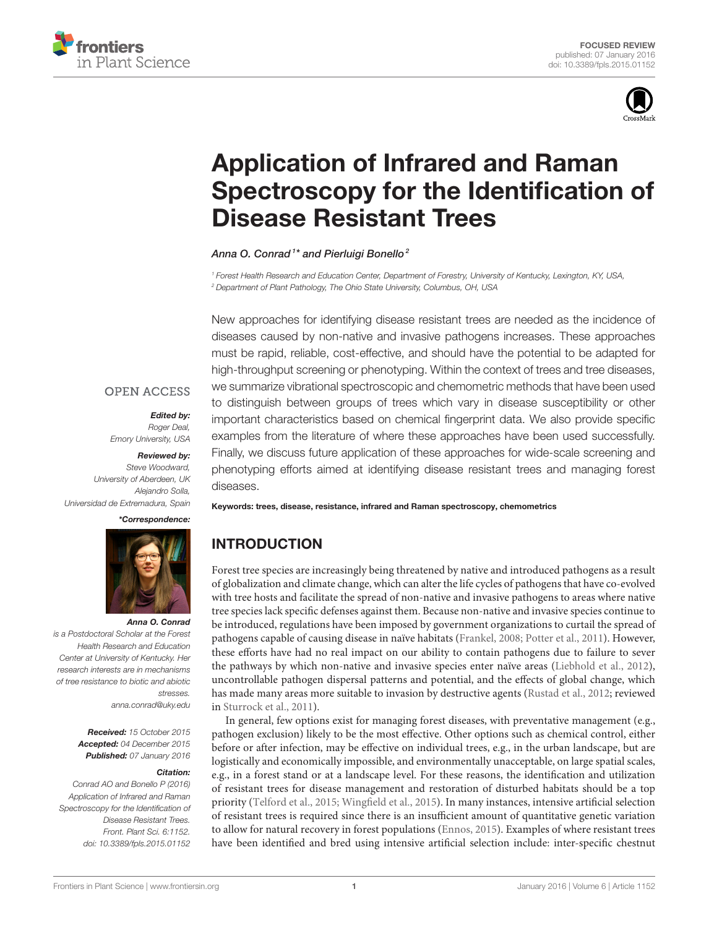



# Application of Infrared and Raman [Spectroscopy for the Identification of](http://journal.frontiersin.org/article/10.3389/fpls.2015.01152/abstract) Disease Resistant Trees

[Anna O. Conrad](http://loop.frontiersin.org/people/172936/overview)<sup>1\*</sup> and [Pierluigi Bonello](http://loop.frontiersin.org/people/64594/overview)<sup>2</sup>

*<sup>1</sup> Forest Health Research and Education Center, Department of Forestry, University of Kentucky, Lexington, KY, USA, <sup>2</sup> Department of Plant Pathology, The Ohio State University, Columbus, OH, USA*

New approaches for identifying disease resistant trees are needed as the incidence of diseases caused by non-native and invasive pathogens increases. These approaches must be rapid, reliable, cost-effective, and should have the potential to be adapted for high-throughput screening or phenotyping. Within the context of trees and tree diseases, we summarize vibrational spectroscopic and chemometric methods that have been used to distinguish between groups of trees which vary in disease susceptibility or other important characteristics based on chemical fingerprint data. We also provide specific examples from the literature of where these approaches have been used successfully. Finally, we discuss future application of these approaches for wide-scale screening and phenotyping efforts aimed at identifying disease resistant trees and managing forest diseases.

### **OPEN ACCESS**

#### *Edited by:*

*Roger Deal, Emory University, USA*

*Reviewed by: Steve Woodward, University of Aberdeen, UK Alejandro Solla, Universidad de Extremadura, Spain*

*\*Correspondence:*



#### *Anna O. Conrad*

*is a Postdoctoral Scholar at the Forest Health Research and Education Center at University of Kentucky. Her research interests are in mechanisms of tree resistance to biotic and abiotic stresses. [anna.conrad@uky.edu](mailto:anna.conrad@uky.edu)*

> *Received: 15 October 2015 Accepted: 04 December 2015 Published: 07 January 2016*

#### *Citation:*

*Conrad AO and Bonello P (2016) Application of Infrared and Raman Spectroscopy for the Identification of Disease Resistant Trees. Front. Plant Sci. 6:1152. doi: [10.3389/fpls.2015.01152](http://dx.doi.org/10.3389/fpls.2015.01152)* Keywords: trees, disease, resistance, infrared and Raman spectroscopy, chemometrics

# INTRODUCTION

Forest tree species are increasingly being threatened by native and introduced pathogens as a result of globalization and climate change, which can alter the life cycles of pathogens that have co-evolved with tree hosts and facilitate the spread of non-native and invasive pathogens to areas where native tree species lack specific defenses against them. Because non-native and invasive species continue to be introduced, regulations have been imposed by government organizations to curtail the spread of pathogens capable of causing disease in naïve habitats [\(Frankel, 2008;](#page-8-0) [Potter et al., 2011\)](#page-9-0). However, these efforts have had no real impact on our ability to contain pathogens due to failure to sever the pathways by which non-native and invasive species enter naïve areas [\(Liebhold et al., 2012\)](#page-8-1), uncontrollable pathogen dispersal patterns and potential, and the effects of global change, which has made many areas more suitable to invasion by destructive agents [\(Rustad et al., 2012;](#page-9-1) reviewed in [Sturrock et al., 2011\)](#page-9-2).

In general, few options exist for managing forest diseases, with preventative management (e.g., pathogen exclusion) likely to be the most effective. Other options such as chemical control, either before or after infection, may be effective on individual trees, e.g., in the urban landscape, but are logistically and economically impossible, and environmentally unacceptable, on large spatial scales, e.g., in a forest stand or at a landscape level. For these reasons, the identification and utilization of resistant trees for disease management and restoration of disturbed habitats should be a top priority [\(Telford et al., 2015;](#page-9-3) [Wingfield et al., 2015\)](#page-9-4). In many instances, intensive artificial selection of resistant trees is required since there is an insufficient amount of quantitative genetic variation to allow for natural recovery in forest populations [\(Ennos, 2015\)](#page-8-2). Examples of where resistant trees have been identified and bred using intensive artificial selection include: inter-specific chestnut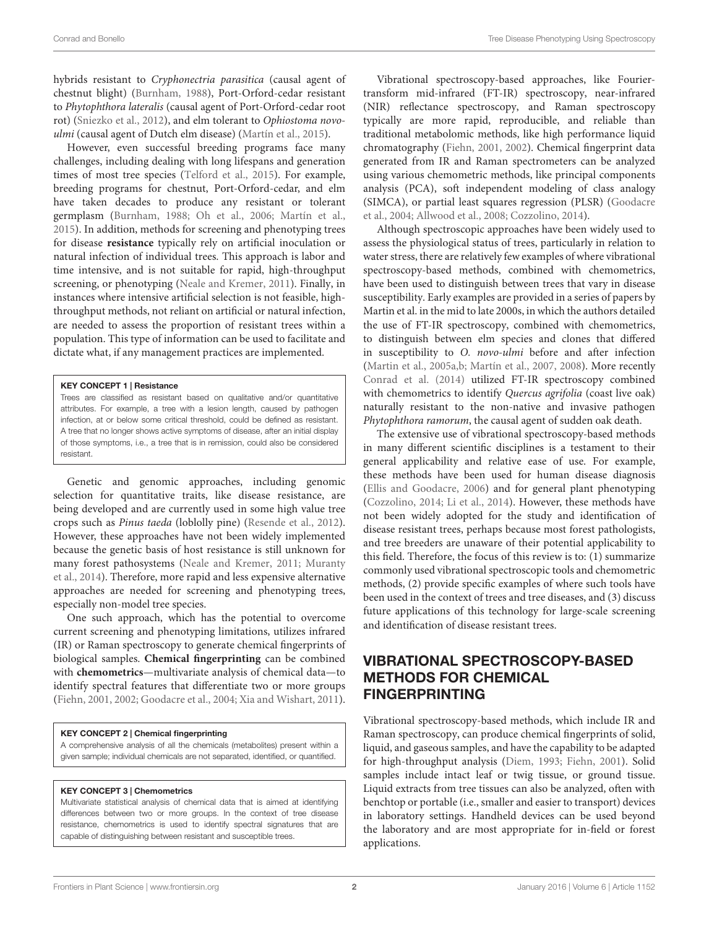hybrids resistant to Cryphonectria parasitica (causal agent of chestnut blight) [\(Burnham, 1988\)](#page-8-3), Port-Orford-cedar resistant to Phytophthora lateralis (causal agent of Port-Orford-cedar root rot) [\(Sniezko et al., 2012\)](#page-9-5), and elm tolerant to Ophiostoma novoulmi (causal agent of Dutch elm disease) [\(Martín et al., 2015\)](#page-8-4).

However, even successful breeding programs face many challenges, including dealing with long lifespans and generation times of most tree species [\(Telford et al., 2015\)](#page-9-3). For example, breeding programs for chestnut, Port-Orford-cedar, and elm have taken decades to produce any resistant or tolerant germplasm [\(Burnham, 1988;](#page-8-3) [Oh et al., 2006;](#page-9-6) [Martín et al.,](#page-8-4) [2015\)](#page-8-4). In addition, methods for screening and phenotyping trees for disease **resistance** typically rely on artificial inoculation or natural infection of individual trees. This approach is labor and time intensive, and is not suitable for rapid, high-throughput screening, or phenotyping [\(Neale and Kremer, 2011\)](#page-9-7). Finally, in instances where intensive artificial selection is not feasible, highthroughput methods, not reliant on artificial or natural infection, are needed to assess the proportion of resistant trees within a population. This type of information can be used to facilitate and dictate what, if any management practices are implemented.

#### KEY CONCEPT 1 | Resistance

Trees are classified as resistant based on qualitative and/or quantitative attributes. For example, a tree with a lesion length, caused by pathogen infection, at or below some critical threshold, could be defined as resistant. A tree that no longer shows active symptoms of disease, after an initial display of those symptoms, i.e., a tree that is in remission, could also be considered resistant.

Genetic and genomic approaches, including genomic selection for quantitative traits, like disease resistance, are being developed and are currently used in some high value tree crops such as Pinus taeda (loblolly pine) [\(Resende et al., 2012\)](#page-9-8). However, these approaches have not been widely implemented because the genetic basis of host resistance is still unknown for many forest pathosystems [\(Neale and Kremer, 2011;](#page-9-7) Muranty et al., [2014\)](#page-9-9). Therefore, more rapid and less expensive alternative approaches are needed for screening and phenotyping trees, especially non-model tree species.

One such approach, which has the potential to overcome current screening and phenotyping limitations, utilizes infrared (IR) or Raman spectroscopy to generate chemical fingerprints of biological samples. **Chemical fingerprinting** can be combined with **chemometrics**—multivariate analysis of chemical data—to identify spectral features that differentiate two or more groups [\(Fiehn, 2001,](#page-8-5) [2002;](#page-8-6) [Goodacre et al., 2004;](#page-8-7) [Xia and Wishart, 2011\)](#page-9-10).

#### KEY CONCEPT 2 | Chemical fingerprinting

A comprehensive analysis of all the chemicals (metabolites) present within a given sample; individual chemicals are not separated, identified, or quantified.

#### KEY CONCEPT 3 | Chemometrics

Multivariate statistical analysis of chemical data that is aimed at identifying differences between two or more groups. In the context of tree disease resistance, chemometrics is used to identify spectral signatures that are capable of distinguishing between resistant and susceptible trees.

Vibrational spectroscopy-based approaches, like Fouriertransform mid-infrared (FT-IR) spectroscopy, near-infrared (NIR) reflectance spectroscopy, and Raman spectroscopy typically are more rapid, reproducible, and reliable than traditional metabolomic methods, like high performance liquid chromatography [\(Fiehn, 2001,](#page-8-5) [2002\)](#page-8-6). Chemical fingerprint data generated from IR and Raman spectrometers can be analyzed using various chemometric methods, like principal components analysis (PCA), soft independent modeling of class analogy (SIMCA), or partial least squares regression (PLSR) (Goodacre et al., [2004;](#page-8-7) [Allwood et al., 2008;](#page-8-8) [Cozzolino, 2014\)](#page-8-9).

Although spectroscopic approaches have been widely used to assess the physiological status of trees, particularly in relation to water stress, there are relatively few examples of where vibrational spectroscopy-based methods, combined with chemometrics, have been used to distinguish between trees that vary in disease susceptibility. Early examples are provided in a series of papers by Martin et al. in the mid to late 2000s, in which the authors detailed the use of FT-IR spectroscopy, combined with chemometrics, to distinguish between elm species and clones that differed in susceptibility to O. novo-ulmi before and after infection [\(Martin et al., 2005a](#page-9-11)[,b;](#page-8-10) [Martín et al., 2007,](#page-9-12) [2008\)](#page-9-13). More recently [Conrad et al. \(2014\)](#page-8-11) utilized FT-IR spectroscopy combined with chemometrics to identify Quercus agrifolia (coast live oak) naturally resistant to the non-native and invasive pathogen Phytophthora ramorum, the causal agent of sudden oak death.

The extensive use of vibrational spectroscopy-based methods in many different scientific disciplines is a testament to their general applicability and relative ease of use. For example, these methods have been used for human disease diagnosis [\(Ellis and Goodacre, 2006\)](#page-8-12) and for general plant phenotyping [\(Cozzolino, 2014;](#page-8-9) [Li et al., 2014\)](#page-8-13). However, these methods have not been widely adopted for the study and identification of disease resistant trees, perhaps because most forest pathologists, and tree breeders are unaware of their potential applicability to this field. Therefore, the focus of this review is to: (1) summarize commonly used vibrational spectroscopic tools and chemometric methods, (2) provide specific examples of where such tools have been used in the context of trees and tree diseases, and (3) discuss future applications of this technology for large-scale screening and identification of disease resistant trees.

# VIBRATIONAL SPECTROSCOPY-BASED METHODS FOR CHEMICAL FINGERPRINTING

Vibrational spectroscopy-based methods, which include IR and Raman spectroscopy, can produce chemical fingerprints of solid, liquid, and gaseous samples, and have the capability to be adapted for high-throughput analysis [\(Diem, 1993;](#page-8-14) [Fiehn, 2001\)](#page-8-5). Solid samples include intact leaf or twig tissue, or ground tissue. Liquid extracts from tree tissues can also be analyzed, often with benchtop or portable (i.e., smaller and easier to transport) devices in laboratory settings. Handheld devices can be used beyond the laboratory and are most appropriate for in-field or forest applications.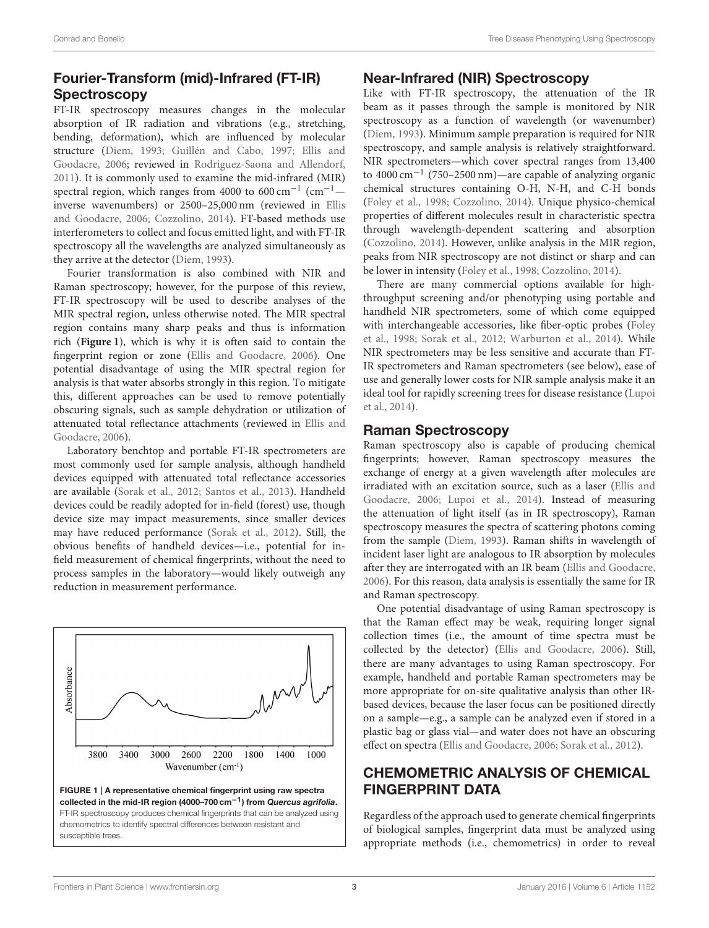# Fourier-Transform (mid)-Infrared (FT-IR) **Spectroscopy**

FT-IR spectroscopy measures changes in the molecular absorption of IR radiation and vibrations (e.g., stretching, bending, deformation), which are influenced by molecular structure [\(Diem, 1993;](#page-8-14) [Guillén and Cabo, 1997;](#page-8-15) Ellis and Goodacre, [2006;](#page-8-12) reviewed in [Rodriguez-Saona and Allendorf,](#page-9-14) [2011\)](#page-9-14). It is commonly used to examine the mid-infrared (MIR) spectral region, which ranges from 4000 to 600 cm<sup>-1</sup> (cm<sup>-1</sup> $$ inverse wavenumbers) or 2500–25,000 nm (reviewed in Ellis and Goodacre, [2006;](#page-8-12) [Cozzolino, 2014\)](#page-8-9). FT-based methods use interferometers to collect and focus emitted light, and with FT-IR spectroscopy all the wavelengths are analyzed simultaneously as they arrive at the detector [\(Diem, 1993\)](#page-8-14).

Fourier transformation is also combined with NIR and Raman spectroscopy; however, for the purpose of this review, FT-IR spectroscopy will be used to describe analyses of the MIR spectral region, unless otherwise noted. The MIR spectral region contains many sharp peaks and thus is information rich (**[Figure 1](#page-4-0)**), which is why it is often said to contain the fingerprint region or zone [\(Ellis and Goodacre, 2006\)](#page-8-12). One potential disadvantage of using the MIR spectral region for analysis is that water absorbs strongly in this region. To mitigate this, different approaches can be used to remove potentially obscuring signals, such as sample dehydration or utilization of attenuated total reflectance attachments (reviewed in Ellis and Goodacre, [2006\)](#page-8-12).

Laboratory benchtop and portable FT-IR spectrometers are most commonly used for sample analysis, although handheld devices equipped with attenuated total reflectance accessories are available [\(Sorak et al., 2012;](#page-9-15) [Santos et al., 2013\)](#page-9-16). Handheld devices could be readily adopted for in-field (forest) use, though device size may impact measurements, since smaller devices may have reduced performance [\(Sorak et al., 2012\)](#page-9-15). Still, the obvious benefits of handheld devices—i.e., potential for infield measurement of chemical fingerprints, without the need to process samples in the laboratory—would likely outweigh any reduction in measurement performance.



<span id="page-4-0"></span>collected in the mid-IR region (4000–700 cm−1) from *Quercus agrifolia*. FT-IR spectroscopy produces chemical fingerprints that can be analyzed using chemometrics to identify spectral differences between resistant and susceptible trees.

### Near-Infrared (NIR) Spectroscopy

Like with FT-IR spectroscopy, the attenuation of the IR beam as it passes through the sample is monitored by NIR spectroscopy as a function of wavelength (or wavenumber) [\(Diem, 1993\)](#page-8-14). Minimum sample preparation is required for NIR spectroscopy, and sample analysis is relatively straightforward. NIR spectrometers—which cover spectral ranges from 13,400 to 4000 cm−<sup>1</sup> (750–2500 nm)—are capable of analyzing organic chemical structures containing O-H, N-H, and C-H bonds [\(Foley et al., 1998;](#page-8-16) [Cozzolino, 2014\)](#page-8-9). Unique physico-chemical properties of different molecules result in characteristic spectra through wavelength-dependent scattering and absorption [\(Cozzolino, 2014\)](#page-8-9). However, unlike analysis in the MIR region, peaks from NIR spectroscopy are not distinct or sharp and can be lower in intensity [\(Foley et al., 1998;](#page-8-16) [Cozzolino, 2014\)](#page-8-9).

There are many commercial options available for highthroughput screening and/or phenotyping using portable and handheld NIR spectrometers, some of which come equipped with interchangeable accessories, like fiber-optic probes (Foley et al., [1998;](#page-8-16) [Sorak et al., 2012;](#page-9-15) [Warburton et al., 2014\)](#page-9-17). While NIR spectrometers may be less sensitive and accurate than FT-IR spectrometers and Raman spectrometers (see below), ease of use and generally lower costs for NIR sample analysis make it an ideal tool for rapidly screening trees for disease resistance (Lupoi et al., [2014\)](#page-8-17).

## Raman Spectroscopy

Raman spectroscopy also is capable of producing chemical fingerprints; however, Raman spectroscopy measures the exchange of energy at a given wavelength after molecules are irradiated with an excitation source, such as a laser (Ellis and Goodacre, [2006;](#page-8-12) [Lupoi et al., 2014\)](#page-8-17). Instead of measuring the attenuation of light itself (as in IR spectroscopy), Raman spectroscopy measures the spectra of scattering photons coming from the sample [\(Diem, 1993\)](#page-8-14). Raman shifts in wavelength of incident laser light are analogous to IR absorption by molecules after they are interrogated with an IR beam [\(Ellis and Goodacre,](#page-8-12) [2006\)](#page-8-12). For this reason, data analysis is essentially the same for IR and Raman spectroscopy.

One potential disadvantage of using Raman spectroscopy is that the Raman effect may be weak, requiring longer signal collection times (i.e., the amount of time spectra must be collected by the detector) [\(Ellis and Goodacre, 2006\)](#page-8-12). Still, there are many advantages to using Raman spectroscopy. For example, handheld and portable Raman spectrometers may be more appropriate for on-site qualitative analysis than other IRbased devices, because the laser focus can be positioned directly on a sample—e.g., a sample can be analyzed even if stored in a plastic bag or glass vial—and water does not have an obscuring effect on spectra [\(Ellis and Goodacre, 2006;](#page-8-12) [Sorak et al., 2012\)](#page-9-15).

# CHEMOMETRIC ANALYSIS OF CHEMICAL FINGERPRINT DATA

Regardless of the approach used to generate chemical fingerprints of biological samples, fingerprint data must be analyzed using appropriate methods (i.e., chemometrics) in order to reveal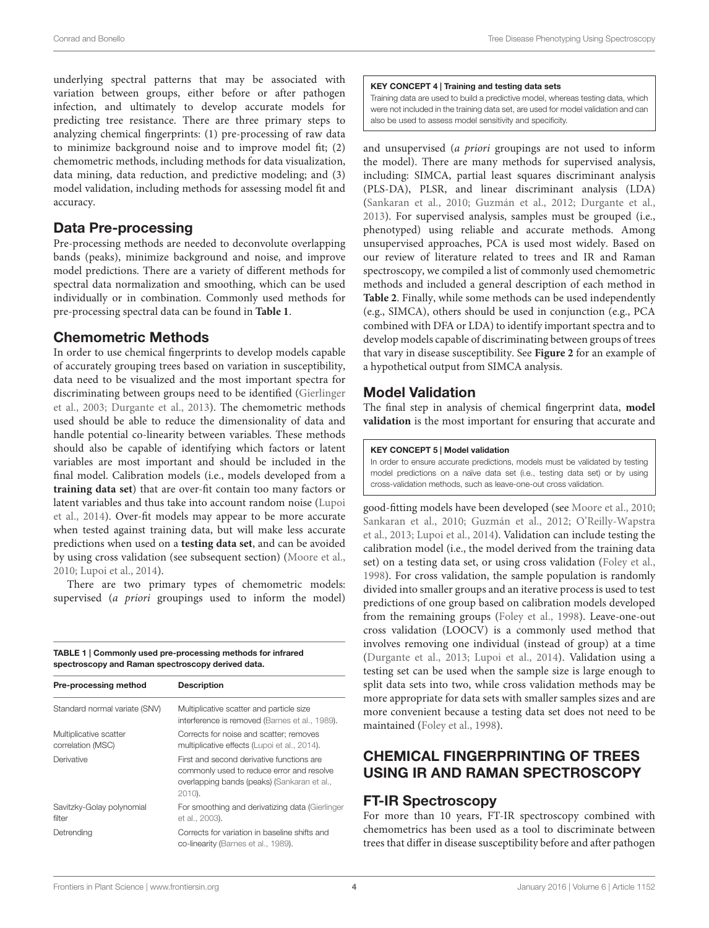underlying spectral patterns that may be associated with variation between groups, either before or after pathogen infection, and ultimately to develop accurate models for predicting tree resistance. There are three primary steps to analyzing chemical fingerprints: (1) pre-processing of raw data to minimize background noise and to improve model fit; (2) chemometric methods, including methods for data visualization, data mining, data reduction, and predictive modeling; and (3) model validation, including methods for assessing model fit and accuracy.

### Data Pre-processing

Pre-processing methods are needed to deconvolute overlapping bands (peaks), minimize background and noise, and improve model predictions. There are a variety of different methods for spectral data normalization and smoothing, which can be used individually or in combination. Commonly used methods for pre-processing spectral data can be found in **[Table 1](#page-5-0)**.

## Chemometric Methods

In order to use chemical fingerprints to develop models capable of accurately grouping trees based on variation in susceptibility, data need to be visualized and the most important spectra for discriminating between groups need to be identified (Gierlinger et al., [2003;](#page-8-18) [Durgante et al., 2013\)](#page-8-19). The chemometric methods used should be able to reduce the dimensionality of data and handle potential co-linearity between variables. These methods should also be capable of identifying which factors or latent variables are most important and should be included in the final model. Calibration models (i.e., models developed from a **training data set**) that are over-fit contain too many factors or latent variables and thus take into account random noise (Lupoi et al., [2014\)](#page-8-17). Over-fit models may appear to be more accurate when tested against training data, but will make less accurate predictions when used on a **testing data set**, and can be avoided by using cross validation (see subsequent section) [\(Moore et al.,](#page-9-18) [2010;](#page-9-18) [Lupoi et al., 2014\)](#page-8-17).

There are two primary types of chemometric models: supervised (a priori groupings used to inform the model)

<span id="page-5-0"></span>TABLE 1 | Commonly used pre-processing methods for infrared spectroscopy and Raman spectroscopy derived data.

| Pre-processing method                       | <b>Description</b>                                                                                                                              |
|---------------------------------------------|-------------------------------------------------------------------------------------------------------------------------------------------------|
| Standard normal variate (SNV)               | Multiplicative scatter and particle size<br>interference is removed (Barnes et al., 1989).                                                      |
| Multiplicative scatter<br>correlation (MSC) | Corrects for noise and scatter; removes<br>multiplicative effects (Lupoi et al., 2014).                                                         |
| Derivative                                  | First and second derivative functions are<br>commonly used to reduce error and resolve<br>overlapping bands (peaks) (Sankaran et al.,<br>2010). |
| Savitzky-Golay polynomial<br>filter         | For smoothing and derivatizing data (Gierlinger<br>et al., 2003).                                                                               |
| Detrending                                  | Corrects for variation in baseline shifts and<br>co-linearity (Barnes et al., 1989).                                                            |

#### KEY CONCEPT 4 | Training and testing data sets

Training data are used to build a predictive model, whereas testing data, which were not included in the training data set, are used for model validation and can also be used to assess model sensitivity and specificity.

and unsupervised (a priori groupings are not used to inform the model). There are many methods for supervised analysis, including: SIMCA, partial least squares discriminant analysis (PLS-DA), PLSR, and linear discriminant analysis (LDA) [\(Sankaran et al., 2010;](#page-9-19) [Guzmán et al., 2012;](#page-8-21) [Durgante et al.,](#page-8-19) [2013\)](#page-8-19). For supervised analysis, samples must be grouped (i.e., phenotyped) using reliable and accurate methods. Among unsupervised approaches, PCA is used most widely. Based on our review of literature related to trees and IR and Raman spectroscopy, we compiled a list of commonly used chemometric methods and included a general description of each method in **[Table 2](#page-6-0)**. Finally, while some methods can be used independently (e.g., SIMCA), others should be used in conjunction (e.g., PCA combined with DFA or LDA) to identify important spectra and to develop models capable of discriminating between groups of trees that vary in disease susceptibility. See **[Figure 2](#page-6-1)** for an example of a hypothetical output from SIMCA analysis.

# Model Validation

The final step in analysis of chemical fingerprint data, **model validation** is the most important for ensuring that accurate and

### KEY CONCEPT 5 | Model validation

In order to ensure accurate predictions, models must be validated by testing model predictions on a naïve data set (i.e., testing data set) or by using cross-validation methods, such as leave-one-out cross validation.

good-fitting models have been developed (see [Moore et al., 2010;](#page-9-18) [Sankaran et al., 2010;](#page-9-19) [Guzmán et al., 2012;](#page-8-21) O'Reilly-Wapstra et al., [2013;](#page-9-20) [Lupoi et al., 2014\)](#page-8-17). Validation can include testing the calibration model (i.e., the model derived from the training data set) on a testing data set, or using cross validation [\(Foley et al.,](#page-8-16) [1998\)](#page-8-16). For cross validation, the sample population is randomly divided into smaller groups and an iterative process is used to test predictions of one group based on calibration models developed from the remaining groups [\(Foley et al., 1998\)](#page-8-16). Leave-one-out cross validation (LOOCV) is a commonly used method that involves removing one individual (instead of group) at a time [\(Durgante et al., 2013;](#page-8-19) [Lupoi et al., 2014\)](#page-8-17). Validation using a testing set can be used when the sample size is large enough to split data sets into two, while cross validation methods may be more appropriate for data sets with smaller samples sizes and are more convenient because a testing data set does not need to be maintained [\(Foley et al., 1998\)](#page-8-16).

# CHEMICAL FINGERPRINTING OF TREES USING IR AND RAMAN SPECTROSCOPY

## FT-IR Spectroscopy

For more than 10 years, FT-IR spectroscopy combined with chemometrics has been used as a tool to discriminate between trees that differ in disease susceptibility before and after pathogen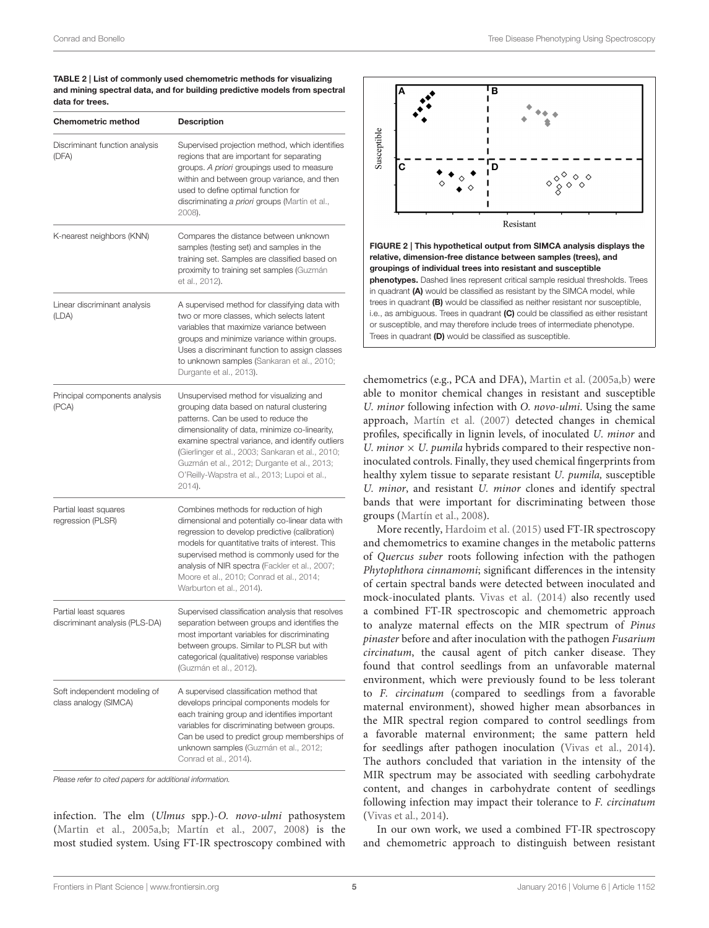<span id="page-6-0"></span>TABLE 2 | List of commonly used chemometric methods for visualizing and mining spectral data, and for building predictive models from spectral data for trees.

| <b>Chemometric method</b>                               | <b>Description</b>                                                                                                                                                                                                                                                                                                                                                                             |
|---------------------------------------------------------|------------------------------------------------------------------------------------------------------------------------------------------------------------------------------------------------------------------------------------------------------------------------------------------------------------------------------------------------------------------------------------------------|
| Discriminant function analysis<br>(DFA)                 | Supervised projection method, which identifies<br>regions that are important for separating<br>groups. A priori groupings used to measure<br>within and between group variance, and then<br>used to define optimal function for<br>discriminating a priori groups (Martín et al.,<br>2008).                                                                                                    |
| K-nearest neighbors (KNN)                               | Compares the distance between unknown<br>samples (testing set) and samples in the<br>training set. Samples are classified based on<br>proximity to training set samples (Guzmán<br>et al., 2012).                                                                                                                                                                                              |
| Linear discriminant analysis<br>(LDA)                   | A supervised method for classifying data with<br>two or more classes, which selects latent<br>variables that maximize variance between<br>groups and minimize variance within groups.<br>Uses a discriminant function to assign classes<br>to unknown samples (Sankaran et al., 2010;<br>Durgante et al., 2013).                                                                               |
| Principal components analysis<br>(PCA)                  | Unsupervised method for visualizing and<br>grouping data based on natural clustering<br>patterns. Can be used to reduce the<br>dimensionality of data, minimize co-linearity,<br>examine spectral variance, and identify outliers<br>(Gierlinger et al., 2003; Sankaran et al., 2010;<br>Guzmán et al., 2012; Durgante et al., 2013;<br>O'Reilly-Wapstra et al., 2013; Lupoi et al.,<br>2014). |
| Partial least squares<br>regression (PLSR)              | Combines methods for reduction of high<br>dimensional and potentially co-linear data with<br>regression to develop predictive (calibration)<br>models for quantitative traits of interest. This<br>supervised method is commonly used for the<br>analysis of NIR spectra (Fackler et al., 2007;<br>Moore et al., 2010; Conrad et al., 2014;<br>Warburton et al., 2014).                        |
| Partial least squares<br>discriminant analysis (PLS-DA) | Supervised classification analysis that resolves<br>separation between groups and identifies the<br>most important variables for discriminating<br>between groups. Similar to PLSR but with<br>categorical (qualitative) response variables<br>(Guzmán et al., 2012).                                                                                                                          |
| Soft independent modeling of<br>class analogy (SIMCA)   | A supervised classification method that<br>develops principal components models for<br>each training group and identifies important<br>variables for discriminating between groups.<br>Can be used to predict group memberships of<br>unknown samples (Guzmán et al., 2012;<br>Conrad et al., 2014).                                                                                           |

*Please refer to cited papers for additional information.*

infection. The elm (Ulmus spp.)-O. novo-ulmi pathosystem [\(Martin et al., 2005a,](#page-9-11)[b;](#page-8-10) [Martín et al., 2007,](#page-9-12) [2008\)](#page-9-13) is the most studied system. Using FT-IR spectroscopy combined with



<span id="page-6-1"></span>relative, dimension-free distance between samples (trees), and groupings of individual trees into resistant and susceptible phenotypes. Dashed lines represent critical sample residual thresholds. Trees in quadrant (A) would be classified as resistant by the SIMCA model, while trees in quadrant (B) would be classified as neither resistant nor susceptible, i.e., as ambiguous. Trees in quadrant (C) could be classified as either resistant or susceptible, and may therefore include trees of intermediate phenotype. Trees in quadrant (D) would be classified as susceptible.

chemometrics (e.g., PCA and DFA), [Martin et al. \(2005a,](#page-9-11)[b\)](#page-8-10) were able to monitor chemical changes in resistant and susceptible U. minor following infection with O. novo-ulmi. Using the same approach, [Martín et al. \(2007\)](#page-9-12) detected changes in chemical profiles, specifically in lignin levels, of inoculated U. minor and U. minor  $\times$  U. pumila hybrids compared to their respective noninoculated controls. Finally, they used chemical fingerprints from healthy xylem tissue to separate resistant U. pumila, susceptible U. minor, and resistant U. minor clones and identify spectral bands that were important for discriminating between those groups [\(Martín et al., 2008\)](#page-9-13).

More recently, [Hardoim et al. \(2015\)](#page-8-23) used FT-IR spectroscopy and chemometrics to examine changes in the metabolic patterns of Quercus suber roots following infection with the pathogen Phytophthora cinnamomi; significant differences in the intensity of certain spectral bands were detected between inoculated and mock-inoculated plants. [Vivas et al. \(2014\)](#page-9-21) also recently used a combined FT-IR spectroscopic and chemometric approach to analyze maternal effects on the MIR spectrum of Pinus pinaster before and after inoculation with the pathogen Fusarium circinatum, the causal agent of pitch canker disease. They found that control seedlings from an unfavorable maternal environment, which were previously found to be less tolerant to F. circinatum (compared to seedlings from a favorable maternal environment), showed higher mean absorbances in the MIR spectral region compared to control seedlings from a favorable maternal environment; the same pattern held for seedlings after pathogen inoculation [\(Vivas et al., 2014\)](#page-9-21). The authors concluded that variation in the intensity of the MIR spectrum may be associated with seedling carbohydrate content, and changes in carbohydrate content of seedlings following infection may impact their tolerance to F. circinatum [\(Vivas et al., 2014\)](#page-9-21).

In our own work, we used a combined FT-IR spectroscopy and chemometric approach to distinguish between resistant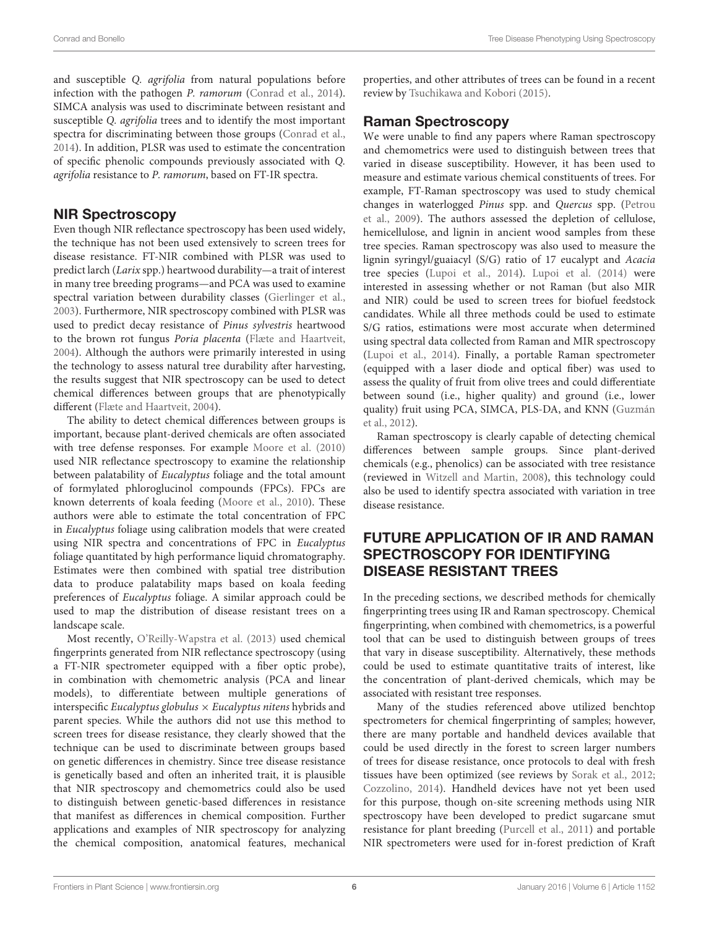and susceptible Q. agrifolia from natural populations before infection with the pathogen P. ramorum [\(Conrad et al., 2014\)](#page-8-11). SIMCA analysis was used to discriminate between resistant and susceptible Q. agrifolia trees and to identify the most important spectra for discriminating between those groups [\(Conrad et al.,](#page-8-11) [2014\)](#page-8-11). In addition, PLSR was used to estimate the concentration of specific phenolic compounds previously associated with Q. agrifolia resistance to P. ramorum, based on FT-IR spectra.

### NIR Spectroscopy

Even though NIR reflectance spectroscopy has been used widely, the technique has not been used extensively to screen trees for disease resistance. FT-NIR combined with PLSR was used to predict larch (Larix spp.) heartwood durability—a trait of interest in many tree breeding programs—and PCA was used to examine spectral variation between durability classes [\(Gierlinger et al.,](#page-8-18) [2003\)](#page-8-18). Furthermore, NIR spectroscopy combined with PLSR was used to predict decay resistance of Pinus sylvestris heartwood to the brown rot fungus Poria placenta [\(Flæte and Haartveit,](#page-8-24) [2004\)](#page-8-24). Although the authors were primarily interested in using the technology to assess natural tree durability after harvesting, the results suggest that NIR spectroscopy can be used to detect chemical differences between groups that are phenotypically different [\(Flæte and Haartveit, 2004\)](#page-8-24).

The ability to detect chemical differences between groups is important, because plant-derived chemicals are often associated with tree defense responses. For example [Moore et al. \(2010\)](#page-9-18) used NIR reflectance spectroscopy to examine the relationship between palatability of Eucalyptus foliage and the total amount of formylated phloroglucinol compounds (FPCs). FPCs are known deterrents of koala feeding [\(Moore et al., 2010\)](#page-9-18). These authors were able to estimate the total concentration of FPC in Eucalyptus foliage using calibration models that were created using NIR spectra and concentrations of FPC in Eucalyptus foliage quantitated by high performance liquid chromatography. Estimates were then combined with spatial tree distribution data to produce palatability maps based on koala feeding preferences of Eucalyptus foliage. A similar approach could be used to map the distribution of disease resistant trees on a landscape scale.

Most recently, [O'Reilly-Wapstra et al. \(2013\)](#page-9-20) used chemical fingerprints generated from NIR reflectance spectroscopy (using a FT-NIR spectrometer equipped with a fiber optic probe), in combination with chemometric analysis (PCA and linear models), to differentiate between multiple generations of interspecific Eucalyptus globulus  $\times$  Eucalyptus nitens hybrids and parent species. While the authors did not use this method to screen trees for disease resistance, they clearly showed that the technique can be used to discriminate between groups based on genetic differences in chemistry. Since tree disease resistance is genetically based and often an inherited trait, it is plausible that NIR spectroscopy and chemometrics could also be used to distinguish between genetic-based differences in resistance that manifest as differences in chemical composition. Further applications and examples of NIR spectroscopy for analyzing the chemical composition, anatomical features, mechanical properties, and other attributes of trees can be found in a recent review by [Tsuchikawa and Kobori \(2015\)](#page-9-22).

### Raman Spectroscopy

We were unable to find any papers where Raman spectroscopy and chemometrics were used to distinguish between trees that varied in disease susceptibility. However, it has been used to measure and estimate various chemical constituents of trees. For example, FT-Raman spectroscopy was used to study chemical changes in waterlogged Pinus spp. and Quercus spp. (Petrou et al., [2009\)](#page-9-23). The authors assessed the depletion of cellulose, hemicellulose, and lignin in ancient wood samples from these tree species. Raman spectroscopy was also used to measure the lignin syringyl/guaiacyl (S/G) ratio of 17 eucalypt and Acacia tree species [\(Lupoi et al., 2014\)](#page-8-17). [Lupoi et al. \(2014\)](#page-8-17) were interested in assessing whether or not Raman (but also MIR and NIR) could be used to screen trees for biofuel feedstock candidates. While all three methods could be used to estimate S/G ratios, estimations were most accurate when determined using spectral data collected from Raman and MIR spectroscopy [\(Lupoi et al., 2014\)](#page-8-17). Finally, a portable Raman spectrometer (equipped with a laser diode and optical fiber) was used to assess the quality of fruit from olive trees and could differentiate between sound (i.e., higher quality) and ground (i.e., lower quality) fruit using PCA, SIMCA, PLS-DA, and KNN (Guzmán et al., [2012\)](#page-8-21).

Raman spectroscopy is clearly capable of detecting chemical differences between sample groups. Since plant-derived chemicals (e.g., phenolics) can be associated with tree resistance (reviewed in [Witzell and Martin, 2008\)](#page-9-24), this technology could also be used to identify spectra associated with variation in tree disease resistance.

# FUTURE APPLICATION OF IR AND RAMAN SPECTROSCOPY FOR IDENTIFYING DISEASE RESISTANT TREES

In the preceding sections, we described methods for chemically fingerprinting trees using IR and Raman spectroscopy. Chemical fingerprinting, when combined with chemometrics, is a powerful tool that can be used to distinguish between groups of trees that vary in disease susceptibility. Alternatively, these methods could be used to estimate quantitative traits of interest, like the concentration of plant-derived chemicals, which may be associated with resistant tree responses.

Many of the studies referenced above utilized benchtop spectrometers for chemical fingerprinting of samples; however, there are many portable and handheld devices available that could be used directly in the forest to screen larger numbers of trees for disease resistance, once protocols to deal with fresh tissues have been optimized (see reviews by [Sorak et al., 2012;](#page-9-15) [Cozzolino, 2014\)](#page-8-9). Handheld devices have not yet been used for this purpose, though on-site screening methods using NIR spectroscopy have been developed to predict sugarcane smut resistance for plant breeding [\(Purcell et al., 2011\)](#page-9-25) and portable NIR spectrometers were used for in-forest prediction of Kraft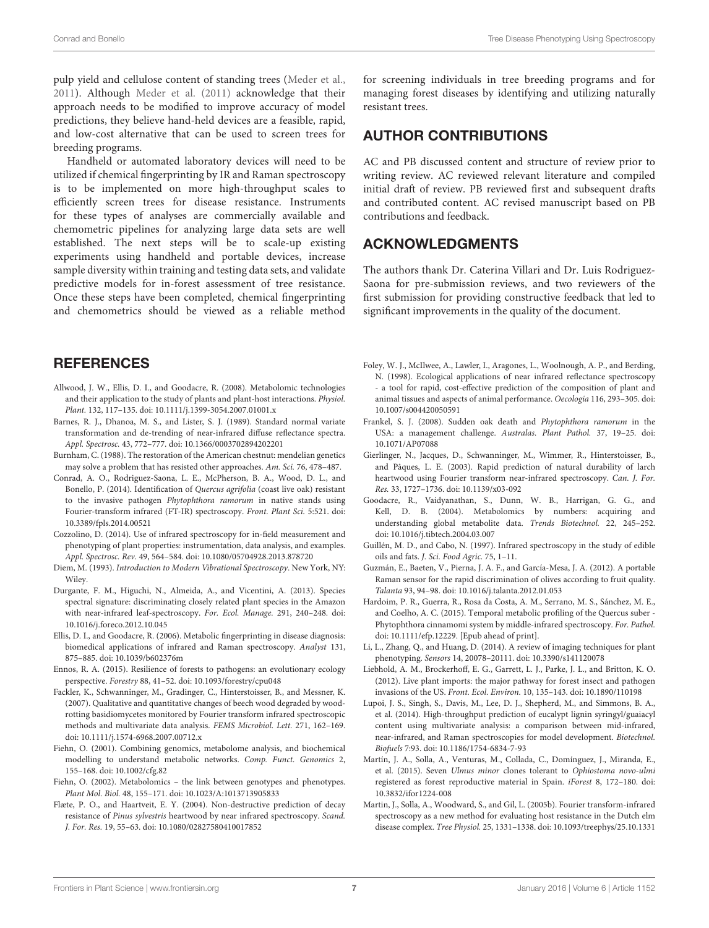pulp yield and cellulose content of standing trees [\(Meder et al.,](#page-9-26) [2011\)](#page-9-26). Although [Meder et al. \(2011\)](#page-9-26) acknowledge that their approach needs to be modified to improve accuracy of model predictions, they believe hand-held devices are a feasible, rapid, and low-cost alternative that can be used to screen trees for breeding programs.

Handheld or automated laboratory devices will need to be utilized if chemical fingerprinting by IR and Raman spectroscopy is to be implemented on more high-throughput scales to efficiently screen trees for disease resistance. Instruments for these types of analyses are commercially available and chemometric pipelines for analyzing large data sets are well established. The next steps will be to scale-up existing experiments using handheld and portable devices, increase sample diversity within training and testing data sets, and validate predictive models for in-forest assessment of tree resistance. Once these steps have been completed, chemical fingerprinting and chemometrics should be viewed as a reliable method

## **REFERENCES**

- <span id="page-8-8"></span>Allwood, J. W., Ellis, D. I., and Goodacre, R. (2008). Metabolomic technologies and their application to the study of plants and plant-host interactions. Physiol. Plant. 132, 117–135. doi: 10.1111/j.1399-3054.2007.01001.x
- <span id="page-8-20"></span>Barnes, R. J., Dhanoa, M. S., and Lister, S. J. (1989). Standard normal variate transformation and de-trending of near-infrared diffuse reflectance spectra. Appl. Spectrosc. 43, 772–777. doi: 10.1366/0003702894202201
- <span id="page-8-3"></span>Burnham, C. (1988). The restoration of the American chestnut: mendelian genetics may solve a problem that has resisted other approaches. Am. Sci. 76, 478–487.
- <span id="page-8-11"></span>Conrad, A. O., Rodriguez-Saona, L. E., McPherson, B. A., Wood, D. L., and Bonello, P. (2014). Identification of Quercus agrifolia (coast live oak) resistant to the invasive pathogen Phytophthora ramorum in native stands using Fourier-transform infrared (FT-IR) spectroscopy. Front. Plant Sci. 5:521. doi: 10.3389/fpls.2014.00521
- <span id="page-8-9"></span>Cozzolino, D. (2014). Use of infrared spectroscopy for in-field measurement and phenotyping of plant properties: instrumentation, data analysis, and examples. Appl. Spectrosc. Rev. 49, 564–584. doi: 10.1080/05704928.2013.878720
- <span id="page-8-14"></span>Diem, M. (1993). Introduction to Modern Vibrational Spectroscopy. New York, NY: Wiley.
- <span id="page-8-19"></span>Durgante, F. M., Higuchi, N., Almeida, A., and Vicentini, A. (2013). Species spectral signature: discriminating closely related plant species in the Amazon with near-infrared leaf-spectroscopy. For. Ecol. Manage. 291, 240–248. doi: 10.1016/j.foreco.2012.10.045
- <span id="page-8-12"></span>Ellis, D. I., and Goodacre, R. (2006). Metabolic fingerprinting in disease diagnosis: biomedical applications of infrared and Raman spectroscopy. Analyst 131, 875–885. doi: 10.1039/b602376m
- <span id="page-8-2"></span>Ennos, R. A. (2015). Resilience of forests to pathogens: an evolutionary ecology perspective. Forestry 88, 41–52. doi: 10.1093/forestry/cpu048
- <span id="page-8-22"></span>Fackler, K., Schwanninger, M., Gradinger, C., Hinterstoisser, B., and Messner, K. (2007). Qualitative and quantitative changes of beech wood degraded by woodrotting basidiomycetes monitored by Fourier transform infrared spectroscopic methods and multivariate data analysis. FEMS Microbiol. Lett. 271, 162–169. doi: 10.1111/j.1574-6968.2007.00712.x
- <span id="page-8-5"></span>Fiehn, O. (2001). Combining genomics, metabolome analysis, and biochemical modelling to understand metabolic networks. Comp. Funct. Genomics 2, 155–168. doi: 10.1002/cfg.82
- <span id="page-8-6"></span>Fiehn, O. (2002). Metabolomics – the link between genotypes and phenotypes. Plant Mol. Biol. 48, 155–171. doi: 10.1023/A:1013713905833
- <span id="page-8-24"></span>Flæte, P. O., and Haartveit, E. Y. (2004). Non-destructive prediction of decay resistance of Pinus sylvestris heartwood by near infrared spectroscopy. Scand. J. For. Res. 19, 55–63. doi: 10.1080/02827580410017852

for screening individuals in tree breeding programs and for managing forest diseases by identifying and utilizing naturally resistant trees.

# AUTHOR CONTRIBUTIONS

AC and PB discussed content and structure of review prior to writing review. AC reviewed relevant literature and compiled initial draft of review. PB reviewed first and subsequent drafts and contributed content. AC revised manuscript based on PB contributions and feedback.

# ACKNOWLEDGMENTS

The authors thank Dr. Caterina Villari and Dr. Luis Rodriguez-Saona for pre-submission reviews, and two reviewers of the first submission for providing constructive feedback that led to significant improvements in the quality of the document.

- <span id="page-8-16"></span>Foley, W. J., McIlwee, A., Lawler, I., Aragones, L., Woolnough, A. P., and Berding, N. (1998). Ecological applications of near infrared reflectance spectroscopy - a tool for rapid, cost-effective prediction of the composition of plant and animal tissues and aspects of animal performance. Oecologia 116, 293–305. doi: 10.1007/s004420050591
- <span id="page-8-0"></span>Frankel, S. J. (2008). Sudden oak death and Phytophthora ramorum in the USA: a management challenge. Australas. Plant Pathol. 37, 19–25. doi: 10.1071/AP07088
- <span id="page-8-18"></span>Gierlinger, N., Jacques, D., Schwanninger, M., Wimmer, R., Hinterstoisser, B., and Pâques, L. E. (2003). Rapid prediction of natural durability of larch heartwood using Fourier transform near-infrared spectroscopy. Can. J. For. Res. 33, 1727–1736. doi: 10.1139/x03-092
- <span id="page-8-7"></span>Goodacre, R., Vaidyanathan, S., Dunn, W. B., Harrigan, G. G., and Kell, D. B. (2004). Metabolomics by numbers: acquiring and understanding global metabolite data. Trends Biotechnol. 22, 245–252. doi: 10.1016/j.tibtech.2004.03.007
- <span id="page-8-15"></span>Guillén, M. D., and Cabo, N. (1997). Infrared spectroscopy in the study of edible oils and fats. J. Sci. Food Agric. 75, 1–11.
- <span id="page-8-21"></span>Guzmán, E., Baeten, V., Pierna, J. A. F., and García-Mesa, J. A. (2012). A portable Raman sensor for the rapid discrimination of olives according to fruit quality. Talanta 93, 94–98. doi: 10.1016/j.talanta.2012.01.053
- <span id="page-8-23"></span>Hardoim, P. R., Guerra, R., Rosa da Costa, A. M., Serrano, M. S., Sánchez, M. E., and Coelho, A. C. (2015). Temporal metabolic profiling of the Quercus suber - Phytophthora cinnamomi system by middle-infrared spectroscopy. For. Pathol. doi: 10.1111/efp.12229. [Epub ahead of print].
- <span id="page-8-13"></span>Li, L., Zhang, Q., and Huang, D. (2014). A review of imaging techniques for plant phenotyping. Sensors 14, 20078–20111. doi: 10.3390/s141120078
- <span id="page-8-1"></span>Liebhold, A. M., Brockerhoff, E. G., Garrett, L. J., Parke, J. L., and Britton, K. O. (2012). Live plant imports: the major pathway for forest insect and pathogen invasions of the US. Front. Ecol. Environ. 10, 135–143. doi: 10.1890/110198
- <span id="page-8-17"></span>Lupoi, J. S., Singh, S., Davis, M., Lee, D. J., Shepherd, M., and Simmons, B. A., et al. (2014). High-throughput prediction of eucalypt lignin syringyl/guaiacyl content using multivariate analysis: a comparison between mid-infrared, near-infrared, and Raman spectroscopies for model development. Biotechnol. Biofuels 7:93. doi: 10.1186/1754-6834-7-93
- <span id="page-8-4"></span>Martín, J. A., Solla, A., Venturas, M., Collada, C., Domínguez, J., Miranda, E., et al. (2015). Seven Ulmus minor clones tolerant to Ophiostoma novo-ulmi registered as forest reproductive material in Spain. iForest 8, 172–180. doi: 10.3832/ifor1224-008
- <span id="page-8-10"></span>Martin, J., Solla, A., Woodward, S., and Gil, L. (2005b). Fourier transform-infrared spectroscopy as a new method for evaluating host resistance in the Dutch elm disease complex. Tree Physiol. 25, 1331–1338. doi: 10.1093/treephys/25.10.1331